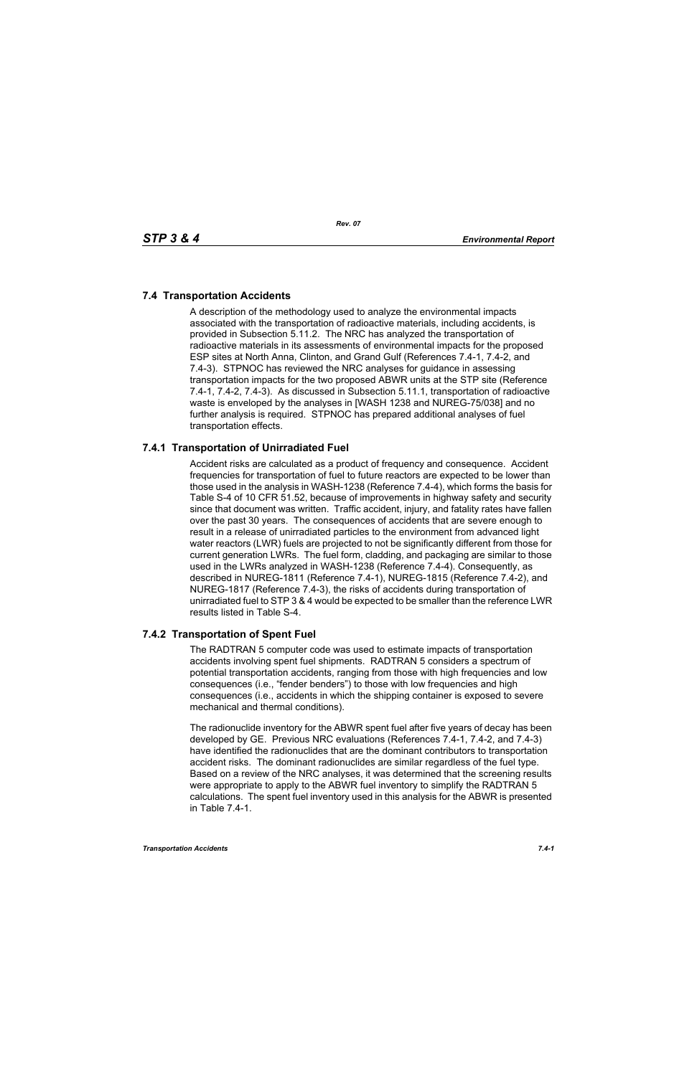# **7.4 Transportation Accidents**

A description of the methodology used to analyze the environmental impacts associated with the transportation of radioactive materials, including accidents, is provided in Subsection 5.11.2. The NRC has analyzed the transportation of radioactive materials in its assessments of environmental impacts for the proposed ESP sites at North Anna, Clinton, and Grand Gulf (References 7.4-1, 7.4-2, and 7.4-3). STPNOC has reviewed the NRC analyses for guidance in assessing transportation impacts for the two proposed ABWR units at the STP site (Reference 7.4-1, 7.4-2, 7.4-3). As discussed in Subsection 5.11.1, transportation of radioactive waste is enveloped by the analyses in [WASH 1238 and NUREG-75/038] and no further analysis is required. STPNOC has prepared additional analyses of fuel transportation effects.

# **7.4.1 Transportation of Unirradiated Fuel**

Accident risks are calculated as a product of frequency and consequence. Accident frequencies for transportation of fuel to future reactors are expected to be lower than those used in the analysis in WASH-1238 (Reference 7.4-4), which forms the basis for Table S-4 of 10 CFR 51.52, because of improvements in highway safety and security since that document was written. Traffic accident, injury, and fatality rates have fallen over the past 30 years. The consequences of accidents that are severe enough to result in a release of unirradiated particles to the environment from advanced light water reactors (LWR) fuels are projected to not be significantly different from those for current generation LWRs. The fuel form, cladding, and packaging are similar to those used in the LWRs analyzed in WASH-1238 (Reference 7.4-4). Consequently, as described in NUREG-1811 (Reference 7.4-1), NUREG-1815 (Reference 7.4-2), and NUREG-1817 (Reference 7.4-3), the risks of accidents during transportation of unirradiated fuel to STP 3 & 4 would be expected to be smaller than the reference LWR results listed in Table S-4.

### **7.4.2 Transportation of Spent Fuel**

The RADTRAN 5 computer code was used to estimate impacts of transportation accidents involving spent fuel shipments. RADTRAN 5 considers a spectrum of potential transportation accidents, ranging from those with high frequencies and low consequences (i.e., "fender benders") to those with low frequencies and high consequences (i.e., accidents in which the shipping container is exposed to severe mechanical and thermal conditions).

The radionuclide inventory for the ABWR spent fuel after five years of decay has been developed by GE. Previous NRC evaluations (References 7.4-1, 7.4-2, and 7.4-3) have identified the radionuclides that are the dominant contributors to transportation accident risks. The dominant radionuclides are similar regardless of the fuel type. Based on a review of the NRC analyses, it was determined that the screening results were appropriate to apply to the ABWR fuel inventory to simplify the RADTRAN 5 calculations. The spent fuel inventory used in this analysis for the ABWR is presented in Table 7.4-1.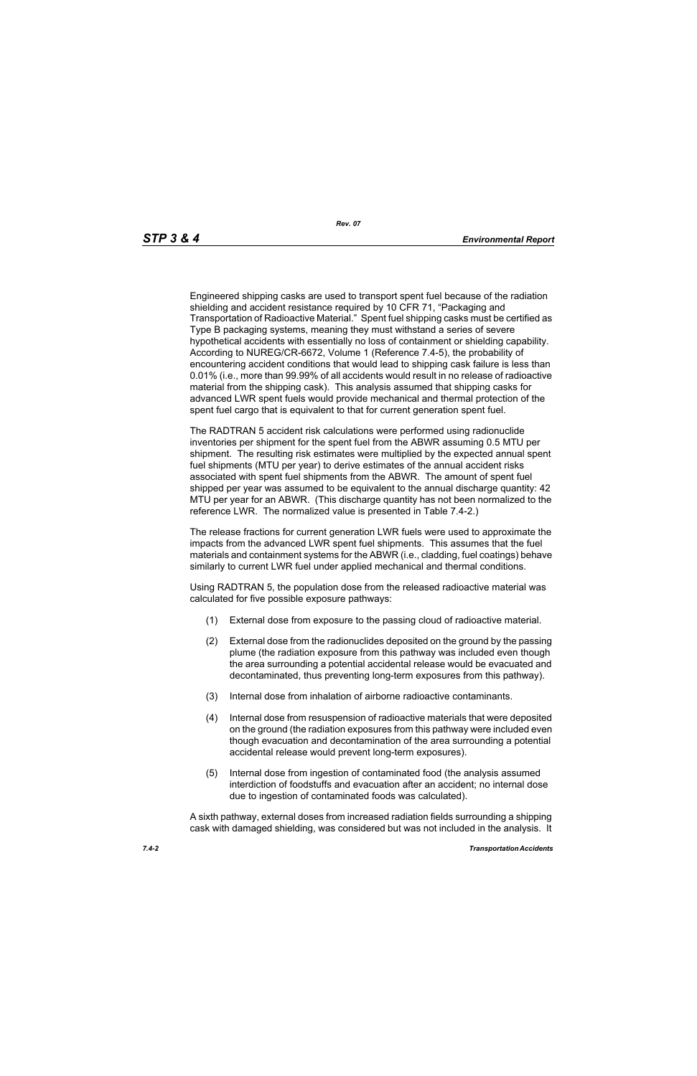Engineered shipping casks are used to transport spent fuel because of the radiation shielding and accident resistance required by 10 CFR 71, "Packaging and Transportation of Radioactive Material." Spent fuel shipping casks must be certified as Type B packaging systems, meaning they must withstand a series of severe hypothetical accidents with essentially no loss of containment or shielding capability. According to NUREG/CR-6672, Volume 1 (Reference 7.4-5), the probability of encountering accident conditions that would lead to shipping cask failure is less than 0.01% (i.e., more than 99.99% of all accidents would result in no release of radioactive material from the shipping cask). This analysis assumed that shipping casks for advanced LWR spent fuels would provide mechanical and thermal protection of the spent fuel cargo that is equivalent to that for current generation spent fuel.

The RADTRAN 5 accident risk calculations were performed using radionuclide inventories per shipment for the spent fuel from the ABWR assuming 0.5 MTU per shipment. The resulting risk estimates were multiplied by the expected annual spent fuel shipments (MTU per year) to derive estimates of the annual accident risks associated with spent fuel shipments from the ABWR. The amount of spent fuel shipped per year was assumed to be equivalent to the annual discharge quantity: 42 MTU per year for an ABWR. (This discharge quantity has not been normalized to the reference LWR. The normalized value is presented in Table 7.4-2.)

The release fractions for current generation LWR fuels were used to approximate the impacts from the advanced LWR spent fuel shipments. This assumes that the fuel materials and containment systems for the ABWR (i.e., cladding, fuel coatings) behave similarly to current LWR fuel under applied mechanical and thermal conditions.

Using RADTRAN 5, the population dose from the released radioactive material was calculated for five possible exposure pathways:

- (1) External dose from exposure to the passing cloud of radioactive material.
- (2) External dose from the radionuclides deposited on the ground by the passing plume (the radiation exposure from this pathway was included even though the area surrounding a potential accidental release would be evacuated and decontaminated, thus preventing long-term exposures from this pathway).
- (3) Internal dose from inhalation of airborne radioactive contaminants.
- (4) Internal dose from resuspension of radioactive materials that were deposited on the ground (the radiation exposures from this pathway were included even though evacuation and decontamination of the area surrounding a potential accidental release would prevent long-term exposures).
- (5) Internal dose from ingestion of contaminated food (the analysis assumed interdiction of foodstuffs and evacuation after an accident; no internal dose due to ingestion of contaminated foods was calculated).

A sixth pathway, external doses from increased radiation fields surrounding a shipping cask with damaged shielding, was considered but was not included in the analysis. It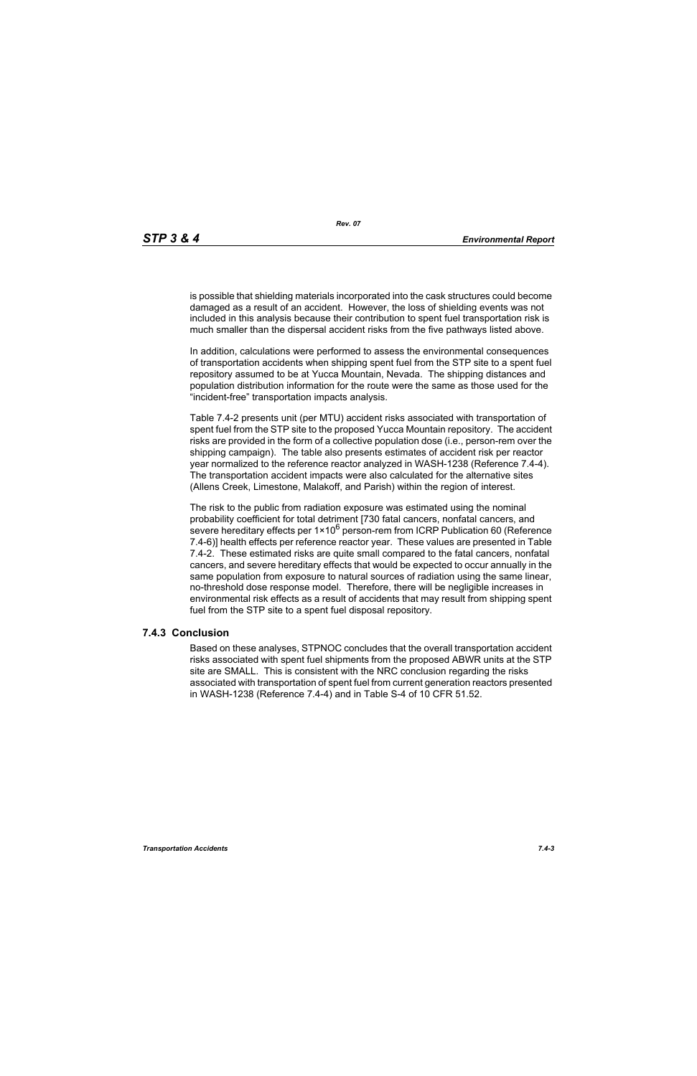is possible that shielding materials incorporated into the cask structures could become damaged as a result of an accident. However, the loss of shielding events was not included in this analysis because their contribution to spent fuel transportation risk is much smaller than the dispersal accident risks from the five pathways listed above.

In addition, calculations were performed to assess the environmental consequences of transportation accidents when shipping spent fuel from the STP site to a spent fuel repository assumed to be at Yucca Mountain, Nevada. The shipping distances and population distribution information for the route were the same as those used for the "incident-free" transportation impacts analysis.

Table 7.4-2 presents unit (per MTU) accident risks associated with transportation of spent fuel from the STP site to the proposed Yucca Mountain repository. The accident risks are provided in the form of a collective population dose (i.e., person-rem over the shipping campaign). The table also presents estimates of accident risk per reactor year normalized to the reference reactor analyzed in WASH-1238 (Reference 7.4-4). The transportation accident impacts were also calculated for the alternative sites (Allens Creek, Limestone, Malakoff, and Parish) within the region of interest.

The risk to the public from radiation exposure was estimated using the nominal probability coefficient for total detriment [730 fatal cancers, nonfatal cancers, and severe hereditary effects per  $1 \times 10^6$  person-rem from ICRP Publication 60 (Reference 7.4-6)] health effects per reference reactor year. These values are presented in Table 7.4-2. These estimated risks are quite small compared to the fatal cancers, nonfatal cancers, and severe hereditary effects that would be expected to occur annually in the same population from exposure to natural sources of radiation using the same linear, no-threshold dose response model. Therefore, there will be negligible increases in environmental risk effects as a result of accidents that may result from shipping spent fuel from the STP site to a spent fuel disposal repository.

#### **7.4.3 Conclusion**

Based on these analyses, STPNOC concludes that the overall transportation accident risks associated with spent fuel shipments from the proposed ABWR units at the STP site are SMALL. This is consistent with the NRC conclusion regarding the risks associated with transportation of spent fuel from current generation reactors presented in WASH-1238 (Reference 7.4-4) and in Table S-4 of 10 CFR 51.52.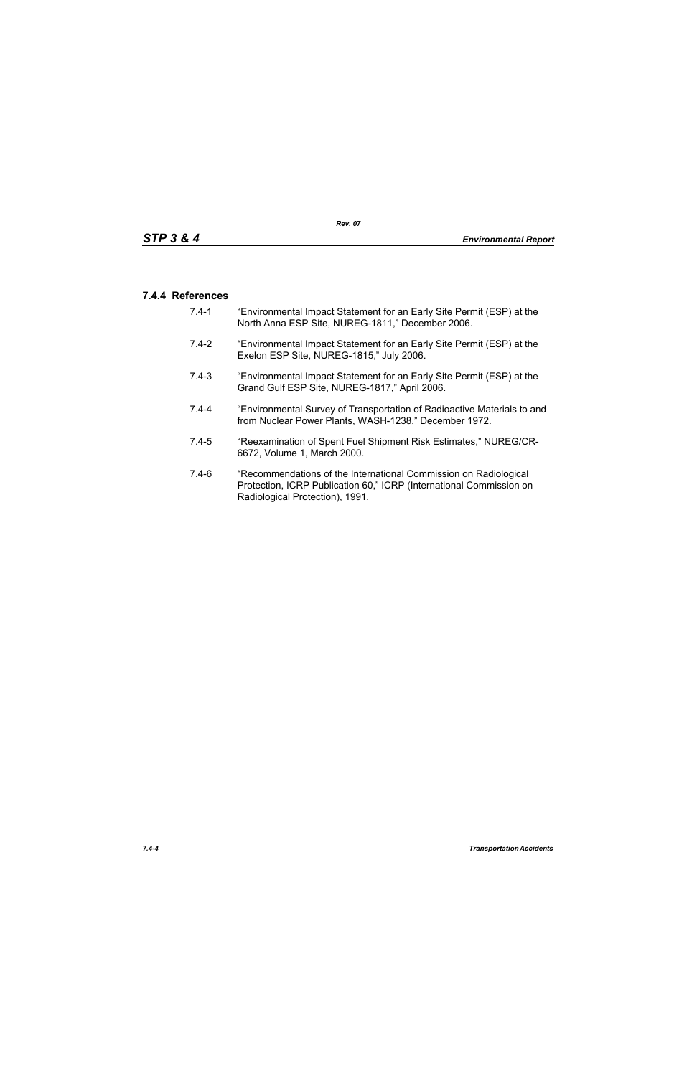### **7.4.4 References**

- 7.4-1 "Environmental Impact Statement for an Early Site Permit (ESP) at the North Anna ESP Site, NUREG-1811," December 2006.
- 7.4-2 "Environmental Impact Statement for an Early Site Permit (ESP) at the Exelon ESP Site, NUREG-1815," July 2006.
- 7.4-3 "Environmental Impact Statement for an Early Site Permit (ESP) at the Grand Gulf ESP Site, NUREG-1817," April 2006.
- 7.4-4 "Environmental Survey of Transportation of Radioactive Materials to and from Nuclear Power Plants, WASH-1238," December 1972.
- 7.4-5 "Reexamination of Spent Fuel Shipment Risk Estimates," NUREG/CR-6672, Volume 1, March 2000.
- 7.4-6 "Recommendations of the International Commission on Radiological Protection, ICRP Publication 60," ICRP (International Commission on Radiological Protection), 1991.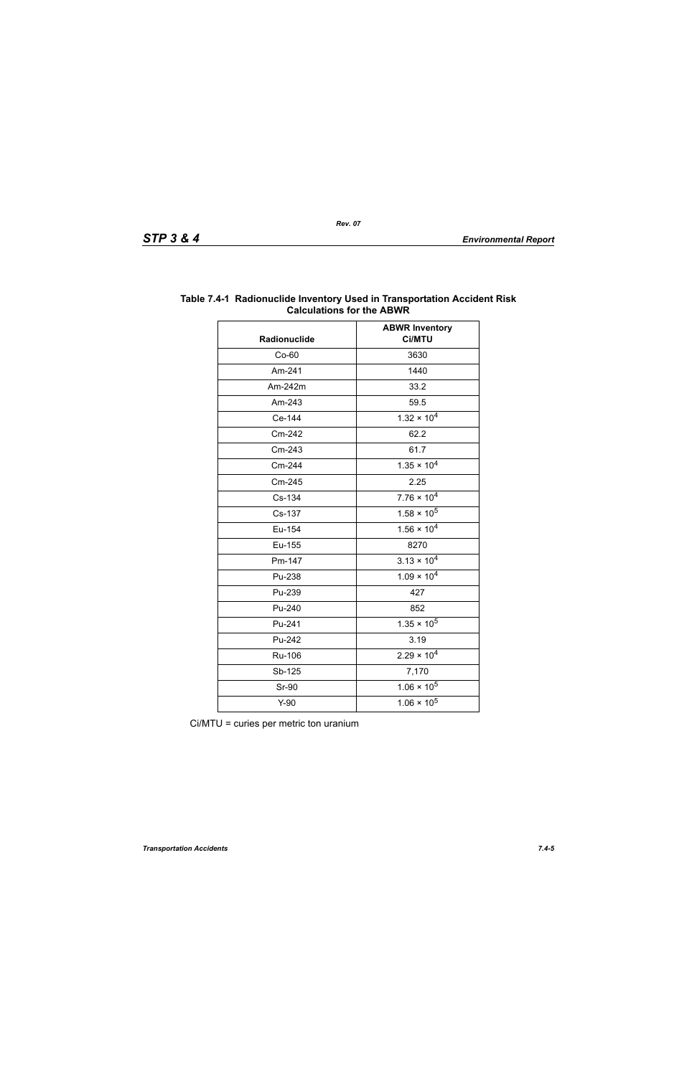| Radionuclide | <b>ABWR Inventory</b><br>Ci/MTU |  |
|--------------|---------------------------------|--|
| $Co-60$      | 3630                            |  |
| Am-241       | 1440                            |  |
| Am-242m      | 33.2                            |  |
| Am-243       | 59.5                            |  |
| Ce-144       | $1.32 \times 10^{4}$            |  |
| Cm-242       | 62.2                            |  |
| Cm-243       | 61.7                            |  |
| Cm-244       | $1.35 \times 10^{4}$            |  |
| Cm-245       | 2.25                            |  |
| Cs-134       | $7.76 \times 10^4$              |  |
| Cs-137       | $1.58 \times 10^5$              |  |
| Eu-154       | $1.56 \times 10^{4}$            |  |
| Eu-155       | 8270                            |  |
| Pm-147       | $3.13 \times 10^{4}$            |  |
| Pu-238       | $1.09 \times 10^{4}$            |  |
| Pu-239       | 427                             |  |
| Pu-240       | 852                             |  |
| Pu-241       | $1.35 \times 10^5$              |  |
| Pu-242       | 3.19                            |  |
| Ru-106       | $2.29 \times 10^{4}$            |  |
| Sb-125       | 7,170                           |  |
| <b>Sr-90</b> | $1.06 \times 10^5$              |  |
| $Y-90$       | $1.06 \times 10^5$              |  |

### **Table 7.4-1 Radionuclide Inventory Used in Transportation Accident Risk Calculations for the ABWR**

Ci/MTU = curies per metric ton uranium